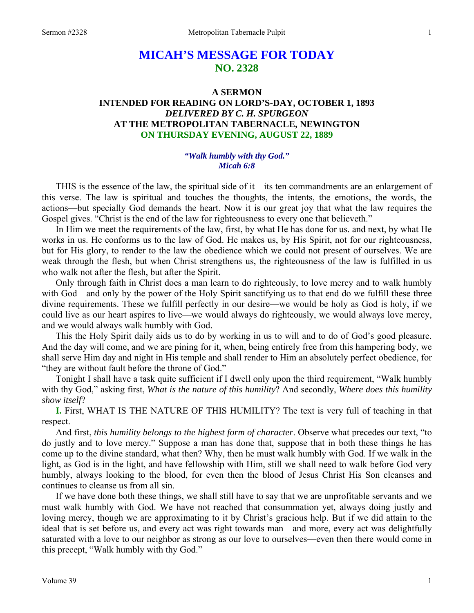# **MICAH'S MESSAGE FOR TODAY NO. 2328**

### **A SERMON INTENDED FOR READING ON LORD'S-DAY, OCTOBER 1, 1893**  *DELIVERED BY C. H. SPURGEON*  **AT THE METROPOLITAN TABERNACLE, NEWINGTON ON THURSDAY EVENING, AUGUST 22, 1889**

#### *"Walk humbly with thy God." Micah 6:8*

THIS is the essence of the law, the spiritual side of it—its ten commandments are an enlargement of this verse. The law is spiritual and touches the thoughts, the intents, the emotions, the words, the actions—but specially God demands the heart. Now it is our great joy that what the law requires the Gospel gives. "Christ is the end of the law for righteousness to every one that believeth."

In Him we meet the requirements of the law, first, by what He has done for us. and next, by what He works in us. He conforms us to the law of God. He makes us, by His Spirit, not for our righteousness, but for His glory, to render to the law the obedience which we could not present of ourselves. We are weak through the flesh, but when Christ strengthens us, the righteousness of the law is fulfilled in us who walk not after the flesh, but after the Spirit.

Only through faith in Christ does a man learn to do righteously, to love mercy and to walk humbly with God—and only by the power of the Holy Spirit sanctifying us to that end do we fulfill these three divine requirements. These we fulfill perfectly in our desire—we would be holy as God is holy, if we could live as our heart aspires to live—we would always do righteously, we would always love mercy, and we would always walk humbly with God.

This the Holy Spirit daily aids us to do by working in us to will and to do of God's good pleasure. And the day will come, and we are pining for it, when, being entirely free from this hampering body, we shall serve Him day and night in His temple and shall render to Him an absolutely perfect obedience, for "they are without fault before the throne of God."

Tonight I shall have a task quite sufficient if I dwell only upon the third requirement, "Walk humbly with thy God," asking first, *What is the nature of this humility*? And secondly, *Where does this humility show itself*?

**I.** First, WHAT IS THE NATURE OF THIS HUMILITY? The text is very full of teaching in that respect.

And first, *this humility belongs to the highest form of character*. Observe what precedes our text, "to do justly and to love mercy." Suppose a man has done that, suppose that in both these things he has come up to the divine standard, what then? Why, then he must walk humbly with God. If we walk in the light, as God is in the light, and have fellowship with Him, still we shall need to walk before God very humbly, always looking to the blood, for even then the blood of Jesus Christ His Son cleanses and continues to cleanse us from all sin.

If we have done both these things, we shall still have to say that we are unprofitable servants and we must walk humbly with God. We have not reached that consummation yet, always doing justly and loving mercy, though we are approximating to it by Christ's gracious help. But if we did attain to the ideal that is set before us, and every act was right towards man—and more, every act was delightfully saturated with a love to our neighbor as strong as our love to ourselves—even then there would come in this precept, "Walk humbly with thy God."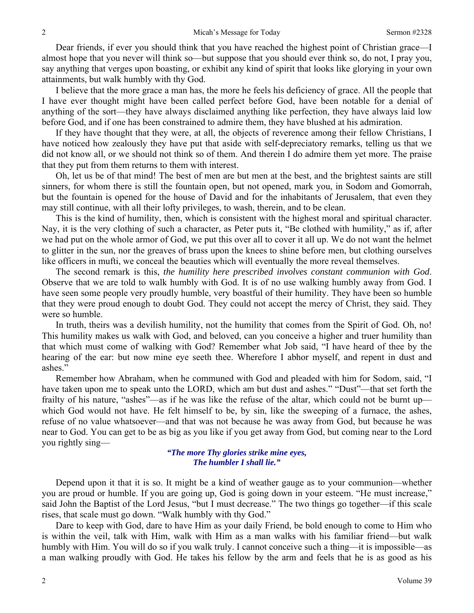Dear friends, if ever you should think that you have reached the highest point of Christian grace—I almost hope that you never will think so—but suppose that you should ever think so, do not, I pray you, say anything that verges upon boasting, or exhibit any kind of spirit that looks like glorying in your own attainments, but walk humbly with thy God.

I believe that the more grace a man has, the more he feels his deficiency of grace. All the people that I have ever thought might have been called perfect before God, have been notable for a denial of anything of the sort—they have always disclaimed anything like perfection, they have always laid low before God, and if one has been constrained to admire them, they have blushed at his admiration.

If they have thought that they were, at all, the objects of reverence among their fellow Christians, I have noticed how zealously they have put that aside with self-depreciatory remarks, telling us that we did not know all, or we should not think so of them. And therein I do admire them yet more. The praise that they put from them returns to them with interest.

Oh, let us be of that mind! The best of men are but men at the best, and the brightest saints are still sinners, for whom there is still the fountain open, but not opened, mark you, in Sodom and Gomorrah, but the fountain is opened for the house of David and for the inhabitants of Jerusalem, that even they may still continue, with all their lofty privileges, to wash, therein, and to be clean.

This is the kind of humility, then, which is consistent with the highest moral and spiritual character. Nay, it is the very clothing of such a character, as Peter puts it, "Be clothed with humility," as if, after we had put on the whole armor of God, we put this over all to cover it all up. We do not want the helmet to glitter in the sun, nor the greaves of brass upon the knees to shine before men, but clothing ourselves like officers in mufti, we conceal the beauties which will eventually the more reveal themselves.

The second remark is this, *the humility here prescribed involves constant communion with God*. Observe that we are told to walk humbly with God. It is of no use walking humbly away from God. I have seen some people very proudly humble, very boastful of their humility. They have been so humble that they were proud enough to doubt God. They could not accept the mercy of Christ, they said. They were so humble.

In truth, theirs was a devilish humility, not the humility that comes from the Spirit of God. Oh, no! This humility makes us walk with God, and beloved, can you conceive a higher and truer humility than that which must come of walking with God? Remember what Job said, "I have heard of thee by the hearing of the ear: but now mine eye seeth thee. Wherefore I abhor myself, and repent in dust and ashes."

Remember how Abraham, when he communed with God and pleaded with him for Sodom, said, "I have taken upon me to speak unto the LORD, which am but dust and ashes." "Dust"—that set forth the frailty of his nature, "ashes"—as if he was like the refuse of the altar, which could not be burnt up which God would not have. He felt himself to be, by sin, like the sweeping of a furnace, the ashes, refuse of no value whatsoever—and that was not because he was away from God, but because he was near to God. You can get to be as big as you like if you get away from God, but coming near to the Lord you rightly sing—

#### *"The more Thy glories strike mine eyes, The humbler I shall lie."*

Depend upon it that it is so. It might be a kind of weather gauge as to your communion—whether you are proud or humble. If you are going up, God is going down in your esteem. "He must increase," said John the Baptist of the Lord Jesus, "but I must decrease." The two things go together—if this scale rises, that scale must go down. "Walk humbly with thy God."

Dare to keep with God, dare to have Him as your daily Friend, be bold enough to come to Him who is within the veil, talk with Him, walk with Him as a man walks with his familiar friend—but walk humbly with Him. You will do so if you walk truly. I cannot conceive such a thing—it is impossible—as a man walking proudly with God. He takes his fellow by the arm and feels that he is as good as his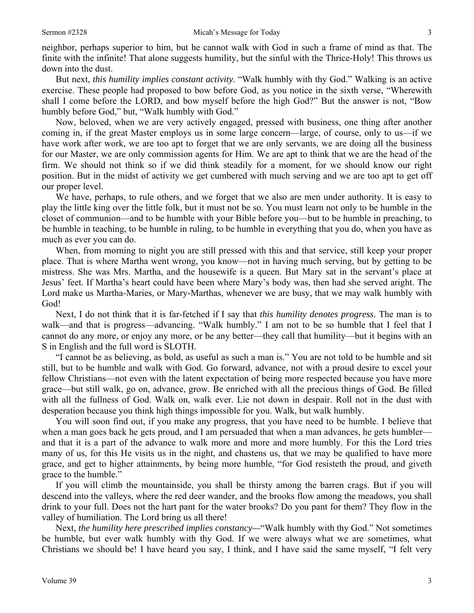neighbor, perhaps superior to him, but he cannot walk with God in such a frame of mind as that. The finite with the infinite! That alone suggests humility, but the sinful with the Thrice-Holy! This throws us down into the dust.

But next, *this humility implies constant activity*. "Walk humbly with thy God." Walking is an active exercise. These people had proposed to bow before God, as you notice in the sixth verse, "Wherewith shall I come before the LORD, and bow myself before the high God?" But the answer is not, "Bow humbly before God," but, "Walk humbly with God."

Now, beloved, when we are very actively engaged, pressed with business, one thing after another coming in, if the great Master employs us in some large concern—large, of course, only to us—if we have work after work, we are too apt to forget that we are only servants, we are doing all the business for our Master, we are only commission agents for Him. We are apt to think that we are the head of the firm. We should not think so if we did think steadily for a moment, for we should know our right position. But in the midst of activity we get cumbered with much serving and we are too apt to get off our proper level.

We have, perhaps, to rule others, and we forget that we also are men under authority. It is easy to play the little king over the little folk, but it must not be so. You must learn not only to be humble in the closet of communion—and to be humble with your Bible before you—but to be humble in preaching, to be humble in teaching, to be humble in ruling, to be humble in everything that you do, when you have as much as ever you can do.

When, from morning to night you are still pressed with this and that service, still keep your proper place. That is where Martha went wrong, you know—not in having much serving, but by getting to be mistress. She was Mrs. Martha, and the housewife is a queen. But Mary sat in the servant's place at Jesus' feet. If Martha's heart could have been where Mary's body was, then had she served aright. The Lord make us Martha-Maries, or Mary-Marthas, whenever we are busy, that we may walk humbly with God!

Next, I do not think that it is far-fetched if I say that *this humility denotes progress*. The man is to walk—and that is progress—advancing. "Walk humbly." I am not to be so humble that I feel that I cannot do any more, or enjoy any more, or be any better—they call that humility—but it begins with an S in English and the full word is SLOTH.

"I cannot be as believing, as bold, as useful as such a man is." You are not told to be humble and sit still, but to be humble and walk with God. Go forward, advance, not with a proud desire to excel your fellow Christians—not even with the latent expectation of being more respected because you have more grace—but still walk, go on, advance, grow. Be enriched with all the precious things of God. Be filled with all the fullness of God. Walk on, walk ever. Lie not down in despair. Roll not in the dust with desperation because you think high things impossible for you. Walk, but walk humbly.

You will soon find out, if you make any progress, that you have need to be humble. I believe that when a man goes back he gets proud, and I am persuaded that when a man advances, he gets humbler and that it is a part of the advance to walk more and more and more humbly. For this the Lord tries many of us, for this He visits us in the night, and chastens us, that we may be qualified to have more grace, and get to higher attainments, by being more humble, "for God resisteth the proud, and giveth grace to the humble."

If you will climb the mountainside, you shall be thirsty among the barren crags. But if you will descend into the valleys, where the red deer wander, and the brooks flow among the meadows, you shall drink to your full. Does not the hart pant for the water brooks? Do you pant for them? They flow in the valley of humiliation. The Lord bring us all there!

Next, *the humility here prescribed implies constancy—*"Walk humbly with thy God." Not sometimes be humble, but ever walk humbly with thy God. If we were always what we are sometimes, what Christians we should be! I have heard you say, I think, and I have said the same myself, "I felt very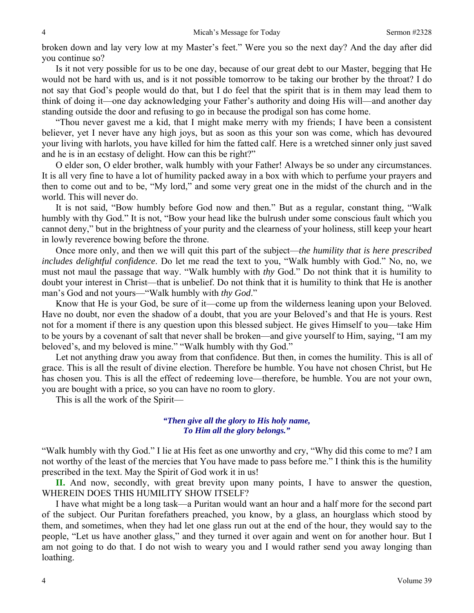broken down and lay very low at my Master's feet." Were you so the next day? And the day after did you continue so?

Is it not very possible for us to be one day, because of our great debt to our Master, begging that He would not be hard with us, and is it not possible tomorrow to be taking our brother by the throat? I do not say that God's people would do that, but I do feel that the spirit that is in them may lead them to think of doing it—one day acknowledging your Father's authority and doing His will—and another day standing outside the door and refusing to go in because the prodigal son has come home.

"Thou never gavest me a kid, that I might make merry with my friends; I have been a consistent believer, yet I never have any high joys, but as soon as this your son was come, which has devoured your living with harlots, you have killed for him the fatted calf. Here is a wretched sinner only just saved and he is in an ecstasy of delight. How can this be right?"

O elder son, O elder brother, walk humbly with your Father! Always be so under any circumstances. It is all very fine to have a lot of humility packed away in a box with which to perfume your prayers and then to come out and to be, "My lord," and some very great one in the midst of the church and in the world. This will never do.

It is not said, "Bow humbly before God now and then*.*" But as a regular, constant thing, "Walk humbly with thy God." It is not, "Bow your head like the bulrush under some conscious fault which you cannot deny," but in the brightness of your purity and the clearness of your holiness, still keep your heart in lowly reverence bowing before the throne.

Once more only, and then we will quit this part of the subject—*the humility that is here prescribed includes delightful confidence*. Do let me read the text to you, "Walk humbly with God." No, no, we must not maul the passage that way. "Walk humbly with *thy* God." Do not think that it is humility to doubt your interest in Christ—that is unbelief. Do not think that it is humility to think that He is another man's God and not yours—"Walk humbly with *thy God*."

Know that He is your God, be sure of it—come up from the wilderness leaning upon your Beloved. Have no doubt, nor even the shadow of a doubt, that you are your Beloved's and that He is yours. Rest not for a moment if there is any question upon this blessed subject. He gives Himself to you—take Him to be yours by a covenant of salt that never shall be broken—and give yourself to Him, saying, "I am my beloved's, and my beloved is mine." "Walk humbly with thy God."

Let not anything draw you away from that confidence. But then, in comes the humility. This is all of grace. This is all the result of divine election. Therefore be humble. You have not chosen Christ, but He has chosen you. This is all the effect of redeeming love—therefore, be humble. You are not your own, you are bought with a price, so you can have no room to glory.

This is all the work of the Spirit—

#### *"Then give all the glory to His holy name, To Him all the glory belongs."*

"Walk humbly with thy God." I lie at His feet as one unworthy and cry, "Why did this come to me? I am not worthy of the least of the mercies that You have made to pass before me." I think this is the humility prescribed in the text. May the Spirit of God work it in us!

**II.** And now, secondly, with great brevity upon many points, I have to answer the question, WHEREIN DOES THIS HUMILITY SHOW ITSELF?

I have what might be a long task—a Puritan would want an hour and a half more for the second part of the subject. Our Puritan forefathers preached, you know, by a glass, an hourglass which stood by them, and sometimes, when they had let one glass run out at the end of the hour, they would say to the people, "Let us have another glass," and they turned it over again and went on for another hour. But I am not going to do that. I do not wish to weary you and I would rather send you away longing than loathing.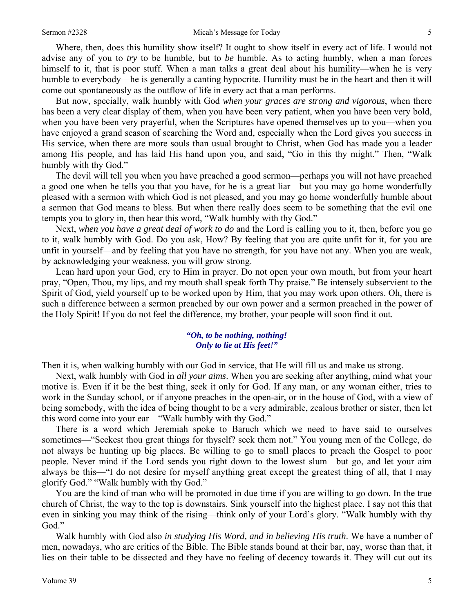Where, then, does this humility show itself? It ought to show itself in every act of life. I would not advise any of you to *try* to be humble, but to *be* humble. As to acting humbly, when a man forces himself to it, that is poor stuff. When a man talks a great deal about his humility—when he is very humble to everybody—he is generally a canting hypocrite. Humility must be in the heart and then it will come out spontaneously as the outflow of life in every act that a man performs.

But now, specially, walk humbly with God *when your graces are strong and vigorous*, when there has been a very clear display of them, when you have been very patient, when you have been very bold, when you have been very prayerful, when the Scriptures have opened themselves up to you—when you have enjoyed a grand season of searching the Word and, especially when the Lord gives you success in His service, when there are more souls than usual brought to Christ, when God has made you a leader among His people, and has laid His hand upon you, and said, "Go in this thy might." Then, "Walk humbly with thy God."

The devil will tell you when you have preached a good sermon—perhaps you will not have preached a good one when he tells you that you have, for he is a great liar—but you may go home wonderfully pleased with a sermon with which God is not pleased, and you may go home wonderfully humble about a sermon that God means to bless. But when there really does seem to be something that the evil one tempts you to glory in, then hear this word, "Walk humbly with thy God."

Next, *when you have a great deal of work to do* and the Lord is calling you to it, then, before you go to it, walk humbly with God. Do you ask, How? By feeling that you are quite unfit for it, for you are unfit in yourself—and by feeling that you have no strength, for you have not any. When you are weak, by acknowledging your weakness, you will grow strong.

Lean hard upon your God, cry to Him in prayer. Do not open your own mouth, but from your heart pray, "Open, Thou, my lips, and my mouth shall speak forth Thy praise." Be intensely subservient to the Spirit of God, yield yourself up to be worked upon by Him, that you may work upon others. Oh, there is such a difference between a sermon preached by our own power and a sermon preached in the power of the Holy Spirit! If you do not feel the difference, my brother, your people will soon find it out.

#### *"Oh, to be nothing, nothing! Only to lie at His feet!"*

Then it is, when walking humbly with our God in service, that He will fill us and make us strong.

Next, walk humbly with God in *all your aims*. When you are seeking after anything, mind what your motive is. Even if it be the best thing, seek it only for God. If any man, or any woman either, tries to work in the Sunday school, or if anyone preaches in the open-air, or in the house of God, with a view of being somebody, with the idea of being thought to be a very admirable, zealous brother or sister, then let this word come into your ear—"Walk humbly with thy God."

There is a word which Jeremiah spoke to Baruch which we need to have said to ourselves sometimes—"Seekest thou great things for thyself? seek them not." You young men of the College, do not always be hunting up big places. Be willing to go to small places to preach the Gospel to poor people. Never mind if the Lord sends you right down to the lowest slum—but go, and let your aim always be this—"I do not desire for myself anything great except the greatest thing of all, that I may glorify God." "Walk humbly with thy God."

You are the kind of man who will be promoted in due time if you are willing to go down. In the true church of Christ, the way to the top is downstairs. Sink yourself into the highest place. I say not this that even in sinking you may think of the rising—think only of your Lord's glory. "Walk humbly with thy God."

Walk humbly with God also *in studying His Word, and in believing His truth*. We have a number of men, nowadays, who are critics of the Bible. The Bible stands bound at their bar, nay, worse than that, it lies on their table to be dissected and they have no feeling of decency towards it. They will cut out its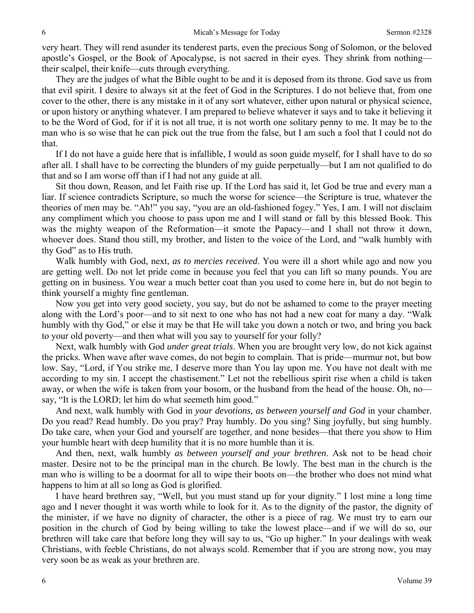very heart. They will rend asunder its tenderest parts, even the precious Song of Solomon, or the beloved apostle's Gospel, or the Book of Apocalypse, is not sacred in their eyes. They shrink from nothing their scalpel, their knife—cuts through everything.

They are the judges of what the Bible ought to be and it is deposed from its throne. God save us from that evil spirit. I desire to always sit at the feet of God in the Scriptures. I do not believe that, from one cover to the other, there is any mistake in it of any sort whatever, either upon natural or physical science, or upon history or anything whatever. I am prepared to believe whatever it says and to take it believing it to be the Word of God, for if it is not all true, it is not worth one solitary penny to me. It may be to the man who is so wise that he can pick out the true from the false, but I am such a fool that I could not do that.

If I do not have a guide here that is infallible, I would as soon guide myself, for I shall have to do so after all. I shall have to be correcting the blunders of my guide perpetually—but I am not qualified to do that and so I am worse off than if I had not any guide at all.

Sit thou down, Reason, and let Faith rise up. If the Lord has said it, let God be true and every man a liar. If science contradicts Scripture, so much the worse for science—the Scripture is true, whatever the theories of men may be. "Ah!" you say, "you are an old-fashioned fogey." Yes, I am. I will not disclaim any compliment which you choose to pass upon me and I will stand or fall by this blessed Book. This was the mighty weapon of the Reformation—it smote the Papacy—and I shall not throw it down, whoever does. Stand thou still, my brother, and listen to the voice of the Lord, and "walk humbly with thy God" as to His truth.

Walk humbly with God, next, *as to mercies received*. You were ill a short while ago and now you are getting well. Do not let pride come in because you feel that you can lift so many pounds. You are getting on in business. You wear a much better coat than you used to come here in, but do not begin to think yourself a mighty fine gentleman.

Now you get into very good society, you say, but do not be ashamed to come to the prayer meeting along with the Lord's poor—and to sit next to one who has not had a new coat for many a day. "Walk humbly with thy God," or else it may be that He will take you down a notch or two, and bring you back to your old poverty—and then what will you say to yourself for your folly?

Next, walk humbly with God *under great trials*. When you are brought very low, do not kick against the pricks. When wave after wave comes, do not begin to complain. That is pride—murmur not, but bow low. Say, "Lord, if You strike me, I deserve more than You lay upon me. You have not dealt with me according to my sin. I accept the chastisement." Let not the rebellious spirit rise when a child is taken away, or when the wife is taken from your bosom, or the husband from the head of the house. Oh, no say, "It is the LORD; let him do what seemeth him good."

And next, walk humbly with God in *your devotions, as between yourself and God* in your chamber. Do you read? Read humbly. Do you pray? Pray humbly. Do you sing? Sing joyfully, but sing humbly. Do take care, when your God and yourself are together, and none besides—that there you show to Him your humble heart with deep humility that it is no more humble than it is.

And then, next, walk humbly *as between yourself and your brethren*. Ask not to be head choir master. Desire not to be the principal man in the church. Be lowly. The best man in the church is the man who is willing to be a doormat for all to wipe their boots on—the brother who does not mind what happens to him at all so long as God is glorified.

I have heard brethren say, "Well, but you must stand up for your dignity." I lost mine a long time ago and I never thought it was worth while to look for it. As to the dignity of the pastor, the dignity of the minister, if we have no dignity of character, the other is a piece of rag. We must try to earn our position in the church of God by being willing to take the lowest place—and if we will do so, our brethren will take care that before long they will say to us, "Go up higher." In your dealings with weak Christians, with feeble Christians, do not always scold. Remember that if you are strong now, you may very soon be as weak as your brethren are.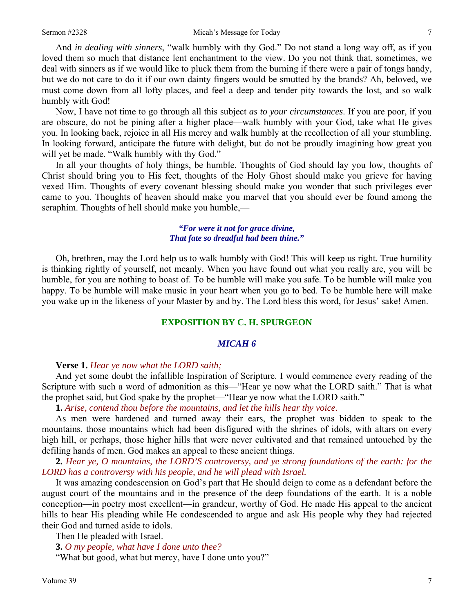And *in dealing with sinners*, "walk humbly with thy God." Do not stand a long way off, as if you loved them so much that distance lent enchantment to the view. Do you not think that, sometimes, we deal with sinners as if we would like to pluck them from the burning if there were a pair of tongs handy, but we do not care to do it if our own dainty fingers would be smutted by the brands? Ah, beloved, we must come down from all lofty places, and feel a deep and tender pity towards the lost, and so walk humbly with God!

Now, I have not time to go through all this subject *as to your circumstances*. If you are poor, if you are obscure, do not be pining after a higher place—walk humbly with your God, take what He gives you. In looking back, rejoice in all His mercy and walk humbly at the recollection of all your stumbling. In looking forward, anticipate the future with delight, but do not be proudly imagining how great you will yet be made. "Walk humbly with thy God."

In all your thoughts of holy things, be humble. Thoughts of God should lay you low, thoughts of Christ should bring you to His feet, thoughts of the Holy Ghost should make you grieve for having vexed Him. Thoughts of every covenant blessing should make you wonder that such privileges ever came to you. Thoughts of heaven should make you marvel that you should ever be found among the seraphim. Thoughts of hell should make you humble,—

#### *"For were it not for grace divine, That fate so dreadful had been thine."*

Oh, brethren, may the Lord help us to walk humbly with God! This will keep us right. True humility is thinking rightly of yourself, not meanly. When you have found out what you really are, you will be humble, for you are nothing to boast of. To be humble will make you safe. To be humble will make you happy. To be humble will make music in your heart when you go to bed. To be humble here will make you wake up in the likeness of your Master by and by. The Lord bless this word, for Jesus' sake! Amen.

#### **EXPOSITION BY C. H. SPURGEON**

#### *MICAH 6*

#### **Verse 1.** *Hear ye now what the LORD saith;*

And yet some doubt the infallible Inspiration of Scripture. I would commence every reading of the Scripture with such a word of admonition as this—"Hear ye now what the LORD saith." That is what the prophet said, but God spake by the prophet—"Hear ye now what the LORD saith."

**1.** *Arise, contend thou before the mountains, and let the hills hear thy voice.* 

As men were hardened and turned away their ears, the prophet was bidden to speak to the mountains, those mountains which had been disfigured with the shrines of idols, with altars on every high hill, or perhaps, those higher hills that were never cultivated and that remained untouched by the defiling hands of men. God makes an appeal to these ancient things.

**2.** *Hear ye, O mountains, the LORD'S controversy, and ye strong foundations of the earth: for the LORD has a controversy with his people, and he will plead with Israel.* 

It was amazing condescension on God's part that He should deign to come as a defendant before the august court of the mountains and in the presence of the deep foundations of the earth. It is a noble conception—in poetry most excellent—in grandeur, worthy of God. He made His appeal to the ancient hills to hear His pleading while He condescended to argue and ask His people why they had rejected their God and turned aside to idols.

Then He pleaded with Israel.

**3.** *O my people, what have I done unto thee?* 

"What but good, what but mercy, have I done unto you?"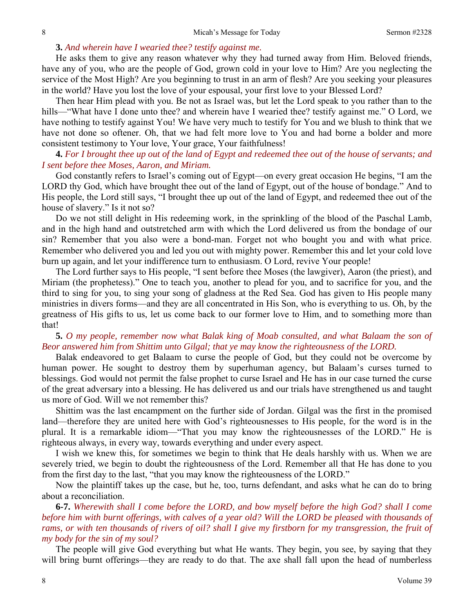### **3.** *And wherein have I wearied thee? testify against me.*

He asks them to give any reason whatever why they had turned away from Him. Beloved friends, have any of you, who are the people of God, grown cold in your love to Him? Are you neglecting the service of the Most High? Are you beginning to trust in an arm of flesh? Are you seeking your pleasures in the world? Have you lost the love of your espousal, your first love to your Blessed Lord?

Then hear Him plead with you. Be not as Israel was, but let the Lord speak to you rather than to the hills—"What have I done unto thee? and wherein have I wearied thee? testify against me." O Lord, we have nothing to testify against You! We have very much to testify for You and we blush to think that we have not done so oftener. Oh, that we had felt more love to You and had borne a bolder and more consistent testimony to Your love, Your grace, Your faithfulness!

### **4.** *For I brought thee up out of the land of Egypt and redeemed thee out of the house of servants; and I sent before thee Moses, Aaron, and Miriam.*

God constantly refers to Israel's coming out of Egypt—on every great occasion He begins, "I am the LORD thy God, which have brought thee out of the land of Egypt, out of the house of bondage." And to His people, the Lord still says, "I brought thee up out of the land of Egypt, and redeemed thee out of the house of slavery." Is it not so?

Do we not still delight in His redeeming work, in the sprinkling of the blood of the Paschal Lamb, and in the high hand and outstretched arm with which the Lord delivered us from the bondage of our sin? Remember that you also were a bond-man. Forget not who bought you and with what price. Remember who delivered you and led you out with mighty power. Remember this and let your cold love burn up again, and let your indifference turn to enthusiasm. O Lord, revive Your people!

The Lord further says to His people, "I sent before thee Moses (the lawgiver), Aaron (the priest), and Miriam (the prophetess)." One to teach you, another to plead for you, and to sacrifice for you, and the third to sing for you, to sing your song of gladness at the Red Sea. God has given to His people many ministries in divers forms—and they are all concentrated in His Son, who is everything to us. Oh, by the greatness of His gifts to us, let us come back to our former love to Him, and to something more than that!

### **5.** *O my people, remember now what Balak king of Moab consulted, and what Balaam the son of Beor answered him from Shittim unto Gilgal; that ye may know the righteousness of the LORD.*

Balak endeavored to get Balaam to curse the people of God, but they could not be overcome by human power. He sought to destroy them by superhuman agency, but Balaam's curses turned to blessings. God would not permit the false prophet to curse Israel and He has in our case turned the curse of the great adversary into a blessing. He has delivered us and our trials have strengthened us and taught us more of God. Will we not remember this?

Shittim was the last encampment on the further side of Jordan. Gilgal was the first in the promised land—therefore they are united here with God's righteousnesses to His people, for the word is in the plural. It is a remarkable idiom—"That you may know the righteousnesses of the LORD." He is righteous always, in every way, towards everything and under every aspect.

I wish we knew this, for sometimes we begin to think that He deals harshly with us. When we are severely tried, we begin to doubt the righteousness of the Lord. Remember all that He has done to you from the first day to the last, "that you may know the righteousness of the LORD."

Now the plaintiff takes up the case, but he, too, turns defendant, and asks what he can do to bring about a reconciliation.

**6-7.** *Wherewith shall I come before the LORD, and bow myself before the high God? shall I come before him with burnt offerings, with calves of a year old? Will the LORD be pleased with thousands of rams, or with ten thousands of rivers of oil? shall I give my firstborn for my transgression, the fruit of my body for the sin of my soul?* 

The people will give God everything but what He wants. They begin, you see, by saying that they will bring burnt offerings—they are ready to do that. The axe shall fall upon the head of numberless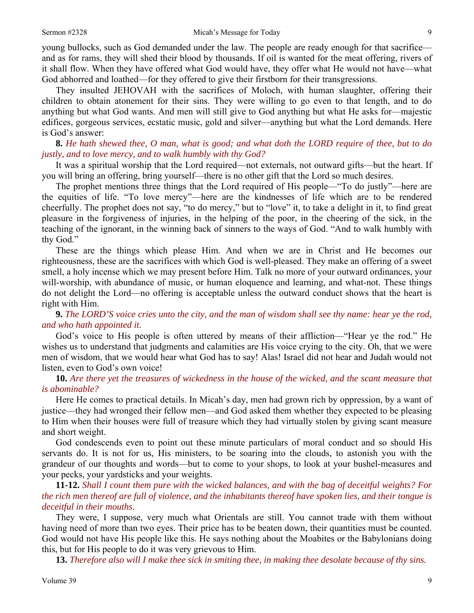young bullocks, such as God demanded under the law. The people are ready enough for that sacrifice and as for rams, they will shed their blood by thousands. If oil is wanted for the meat offering, rivers of it shall flow. When they have offered what God would have, they offer what He would not have—what God abhorred and loathed—for they offered to give their firstborn for their transgressions.

They insulted JEHOVAH with the sacrifices of Moloch, with human slaughter, offering their children to obtain atonement for their sins. They were willing to go even to that length, and to do anything but what God wants. And men will still give to God anything but what He asks for—majestic edifices, gorgeous services, ecstatic music, gold and silver—anything but what the Lord demands. Here is God's answer:

### **8.** *He hath shewed thee, O man, what is good; and what doth the LORD require of thee, but to do justly, and to love mercy, and to walk humbly with thy God?*

It was a spiritual worship that the Lord required—not externals, not outward gifts—but the heart. If you will bring an offering, bring yourself—there is no other gift that the Lord so much desires.

The prophet mentions three things that the Lord required of His people—"To do justly"—here are the equities of life. "To love mercy"—here are the kindnesses of life which are to be rendered cheerfully. The prophet does not say, "to do mercy," but to "love" it, to take a delight in it, to find great pleasure in the forgiveness of injuries, in the helping of the poor, in the cheering of the sick, in the teaching of the ignorant, in the winning back of sinners to the ways of God. "And to walk humbly with thy God."

These are the things which please Him. And when we are in Christ and He becomes our righteousness, these are the sacrifices with which God is well-pleased. They make an offering of a sweet smell, a holy incense which we may present before Him. Talk no more of your outward ordinances, your will-worship, with abundance of music, or human eloquence and learning, and what-not. These things do not delight the Lord—no offering is acceptable unless the outward conduct shows that the heart is right with Him.

**9.** *The LORD'S voice cries unto the city, and the man of wisdom shall see thy name: hear ye the rod, and who hath appointed it.* 

God's voice to His people is often uttered by means of their affliction—"Hear ye the rod." He wishes us to understand that judgments and calamities are His voice crying to the city. Oh, that we were men of wisdom, that we would hear what God has to say! Alas! Israel did not hear and Judah would not listen, even to God's own voice!

### **10.** *Are there yet the treasures of wickedness in the house of the wicked, and the scant measure that is abominable?*

Here He comes to practical details. In Micah's day, men had grown rich by oppression, by a want of justice—they had wronged their fellow men—and God asked them whether they expected to be pleasing to Him when their houses were full of treasure which they had virtually stolen by giving scant measure and short weight.

God condescends even to point out these minute particulars of moral conduct and so should His servants do. It is not for us, His ministers, to be soaring into the clouds, to astonish you with the grandeur of our thoughts and words—but to come to your shops, to look at your bushel-measures and your pecks, your yardsticks and your weights.

**11-12.** *Shall I count them pure with the wicked balances, and with the bag of deceitful weights? For the rich men thereof are full of violence, and the inhabitants thereof have spoken lies, and their tongue is deceitful in their mouths.* 

They were, I suppose, very much what Orientals are still. You cannot trade with them without having need of more than two eyes. Their price has to be beaten down, their quantities must be counted. God would not have His people like this. He says nothing about the Moabites or the Babylonians doing this, but for His people to do it was very grievous to Him.

**13.** *Therefore also will I make thee sick in smiting thee, in making thee desolate because of thy sins.*